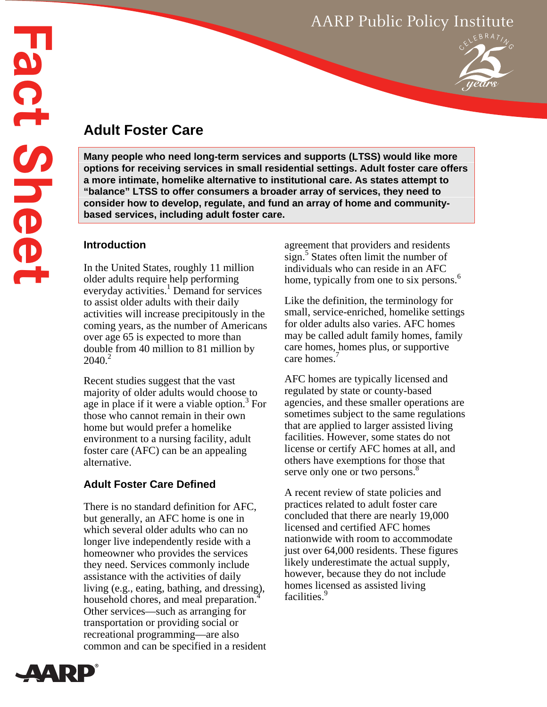# AARP Public Policy Institute



# **Adult Foster Care**

**Many people who need long-term services and supports (LTSS) would like more options for receiving services in small residential settings. Adult foster care offers a more intimate, homelike alternative to institutional care. As states attempt to "balance" LTSS to offer consumers a broader array of services, they need to consider how to develop, regulate, and fund an array of home and communitybased services, including adult foster care.** 

## **Introduction**

In the United States, roughly 11 million older adults require help performing everyday activities.<sup>1</sup> Demand for services to assist older adults with their daily activities will increase precipitously in the coming years, as the number of Americans over age 65 is expected to more than double from 40 million to 81 million by  $2040.<sup>2</sup>$ 

Recent studies suggest that the vast majority of older adults would choose to age in place if it were a viable option.<sup>3</sup> For those who cannot remain in their own home but would prefer a homelike environment to a nursing facility, adult foster care (AFC) can be an appealing alternative.

# **Adult Foster Care Defined**

There is no standard definition for AFC, but generally, an AFC home is one in which several older adults who can no longer live independently reside with a homeowner who provides the services they need. Services commonly include assistance with the activities of daily living (e.g., eating, bathing, and dressing), household chores, and meal preparation.<sup>4</sup> Other services—such as arranging for transportation or providing social or recreational programming—are also common and can be specified in a resident agreement that providers and residents sign.<sup>5</sup> States often limit the number of individuals who can reside in an AFC home, typically from one to six persons.<sup>6</sup>

Like the definition, the terminology for small, service-enriched, homelike settings for older adults also varies. AFC homes may be called adult family homes, family care homes, homes plus, or supportive care homes.<sup>7</sup>

AFC homes are typically licensed and regulated by state or county-based agencies, and these smaller operations are sometimes subject to the same regulations that are applied to larger assisted living facilities. However, some states do not license or certify AFC homes at all, and others have exemptions for those that serve only one or two persons.<sup>8</sup>

A recent review of state policies and practices related to adult foster care concluded that there are nearly 19,000 licensed and certified AFC homes nationwide with room to accommodate just over 64,000 residents. These figures likely underestimate the actual supply, however, because they do not include homes licensed as assisted living facilities.<sup>9</sup>

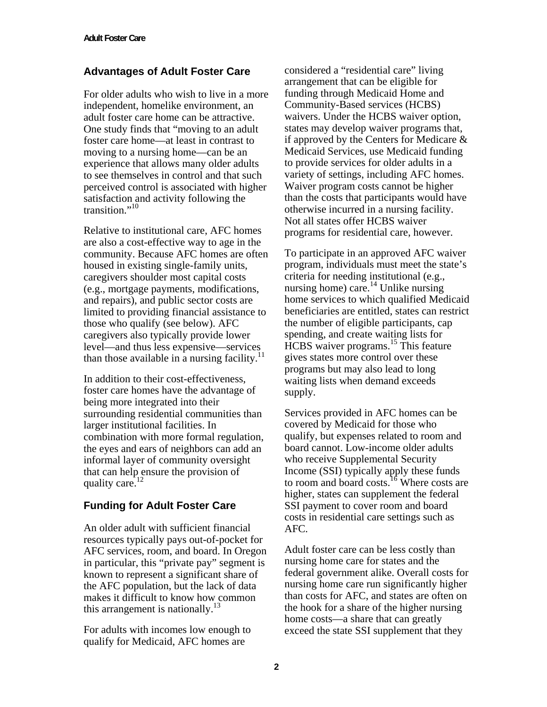## **Advantages of Adult Foster Care**

For older adults who wish to live in a more independent, homelike environment, an adult foster care home can be attractive. One study finds that "moving to an adult foster care home—at least in contrast to moving to a nursing home—can be an experience that allows many older adults to see themselves in control and that such perceived control is associated with higher satisfaction and activity following the transition." $10$ 

Relative to institutional care, AFC homes are also a cost-effective way to age in the community. Because AFC homes are often housed in existing single-family units, caregivers shoulder most capital costs (e.g., mortgage payments, modifications, and repairs), and public sector costs are limited to providing financial assistance to those who qualify (see below). AFC caregivers also typically provide lower level—and thus less expensive—services than those available in a nursing facility.<sup>11</sup>

In addition to their cost-effectiveness, foster care homes have the advantage of being more integrated into their surrounding residential communities than larger institutional facilities. In combination with more formal regulation, the eyes and ears of neighbors can add an informal layer of community oversight that can help ensure the provision of quality care.<sup>12</sup>

### **Funding for Adult Foster Care**

An older adult with sufficient financial resources typically pays out-of-pocket for AFC services, room, and board. In Oregon in particular, this "private pay" segment is known to represent a significant share of the AFC population, but the lack of data makes it difficult to know how common this arrangement is nationally.<sup>13</sup>

For adults with incomes low enough to qualify for Medicaid, AFC homes are

considered a "residential care" living arrangement that can be eligible for funding through Medicaid Home and Community-Based services (HCBS) waivers. Under the HCBS waiver option, states may develop waiver programs that, if approved by the Centers for Medicare & Medicaid Services, use Medicaid funding to provide services for older adults in a variety of settings, including AFC homes. Waiver program costs cannot be higher than the costs that participants would have otherwise incurred in a nursing facility. Not all states offer HCBS waiver programs for residential care, however.

To participate in an approved AFC waiver program, individuals must meet the state's criteria for needing institutional (e.g., nursing home) care.<sup>14</sup> Unlike nursing home services to which qualified Medicaid beneficiaries are entitled, states can restrict the number of eligible participants, cap spending, and create waiting lists for HCBS waiver programs.15 This feature gives states more control over these programs but may also lead to long waiting lists when demand exceeds supply.

Services provided in AFC homes can be covered by Medicaid for those who qualify, but expenses related to room and board cannot. Low-income older adults who receive Supplemental Security Income (SSI) typically apply these funds to room and board costs.<sup>16</sup> Where costs are higher, states can supplement the federal SSI payment to cover room and board costs in residential care settings such as AFC.

Adult foster care can be less costly than nursing home care for states and the federal government alike. Overall costs for nursing home care run significantly higher than costs for AFC, and states are often on the hook for a share of the higher nursing home costs—a share that can greatly exceed the state SSI supplement that they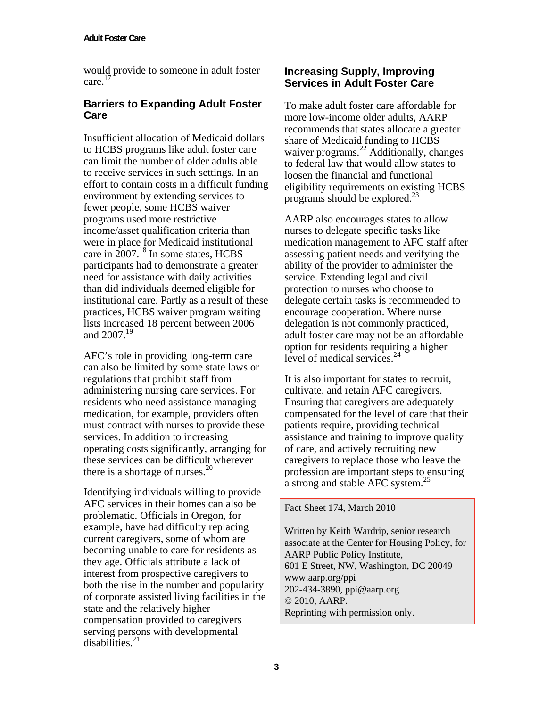would provide to someone in adult foster care.17

### **Barriers to Expanding Adult Foster Care**

Insufficient allocation of Medicaid dollars to HCBS programs like adult foster care can limit the number of older adults able to receive services in such settings. In an effort to contain costs in a difficult funding environment by extending services to fewer people, some HCBS waiver programs used more restrictive income/asset qualification criteria than were in place for Medicaid institutional care in  $2007$ .<sup>18</sup> In some states, HCBS participants had to demonstrate a greater need for assistance with daily activities than did individuals deemed eligible for institutional care. Partly as a result of these practices, HCBS waiver program waiting lists increased 18 percent between 2006 and  $2007^{19}$ 

AFC's role in providing long-term care can also be limited by some state laws or regulations that prohibit staff from administering nursing care services. For residents who need assistance managing medication, for example, providers often must contract with nurses to provide these services. In addition to increasing operating costs significantly, arranging for these services can be difficult wherever there is a shortage of nurses. $^{20}$ 

Identifying individuals willing to provide AFC services in their homes can also be problematic. Officials in Oregon, for example, have had difficulty replacing current caregivers, some of whom are becoming unable to care for residents as they age. Officials attribute a lack of interest from prospective caregivers to both the rise in the number and popularity of corporate assisted living facilities in the state and the relatively higher compensation provided to caregivers serving persons with developmental  $disabilities<sup>21</sup>$ 

#### **Increasing Supply, Improving Services in Adult Foster Care**

To make adult foster care affordable for more low-income older adults, AARP recommends that states allocate a greater share of Medicaid funding to HCBS waiver programs. $22$  Additionally, changes to federal law that would allow states to loosen the financial and functional eligibility requirements on existing HCBS programs should be explored.23

AARP also encourages states to allow nurses to delegate specific tasks like medication management to AFC staff after assessing patient needs and verifying the ability of the provider to administer the service. Extending legal and civil protection to nurses who choose to delegate certain tasks is recommended to encourage cooperation. Where nurse delegation is not commonly practiced, adult foster care may not be an affordable option for residents requiring a higher level of medical services.<sup>24</sup>

It is also important for states to recruit, cultivate, and retain AFC caregivers. Ensuring that caregivers are adequately compensated for the level of care that their patients require, providing technical assistance and training to improve quality of care, and actively recruiting new caregivers to replace those who leave the profession are important steps to ensuring a strong and stable AFC system.<sup>25</sup>

Fact Sheet 174, March 2010

Written by Keith Wardrip, senior research associate at the Center for Housing Policy, for AARP Public Policy Institute, 601 E Street, NW, Washington, DC 20049 www.aarp.org/ppi 202-434-3890, ppi@aarp.org © 2010, AARP. Reprinting with permission only.